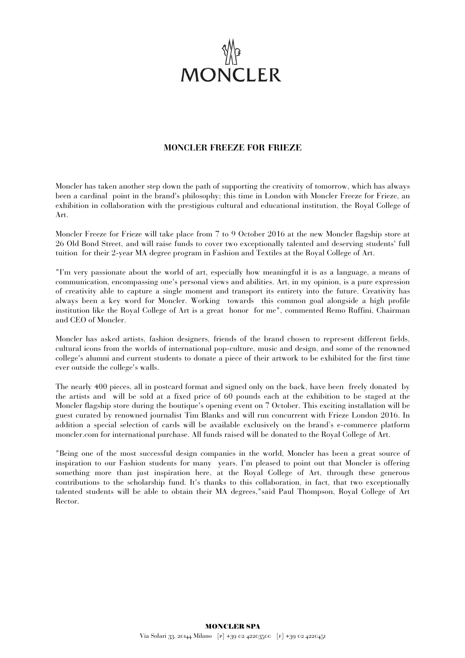

## **MONCLER FREEZE FOR FRIEZE**

Moncler has taken another step down the path of supporting the creativity of tomorrow, which has always been a cardinal point in the brand's philosophy; this time in London with Moncler Freeze for Frieze, an exhibition in collaboration with the prestigious cultural and educational institution, the Royal College of Art.

Moncler Freeze for Frieze will take place from 7 to 9 October 2016 at the new Moncler flagship store at 26 Old Bond Street, and will raise funds to cover two exceptionally talented and deserving students' full tuition for their 2-year MA degree program in Fashion and Textiles at the Royal College of Art.

"I'm very passionate about the world of art, especially how meaningful it is as a language, a means of communication, encompassing one's personal views and abilities. Art, in my opinion, is a pure expression of creativity able to capture a single moment and transport its entirety into the future. Creativity has always been a key word for Moncler. Working towards this common goal alongside a high profile institution like the Royal College of Art is a great honor for me", commented Remo Ruffini, Chairman and CEO of Moncler.

Moncler has asked artists, fashion designers, friends of the brand chosen to represent different fields, cultural icons from the worlds of international pop-culture, music and design, and some of the renowned college's alumni and current students to donate a piece of their artwork to be exhibited for the first time ever outside the college's walls.

The nearly 400 pieces, all in postcard format and signed only on the back, have been freely donated by the artists and will be sold at a fixed price of 60 pounds each at the exhibition to be staged at the Moncler flagship store during the boutique's opening event on 7 October. This exciting installation will be guest curated by renowned journalist Tim Blanks and will run concurrent with Frieze London 2016. In addition a special selection of cards will be available exclusively on the brand's e-commerce platform moncler.com for international purchase. All funds raised will be donated to the Royal College of Art.

"Being one of the most successful design companies in the world, Moncler has been a great source of inspiration to our Fashion students for many years. I'm pleased to point out that Moncler is offering something more than just inspiration here, at the Royal College of Art, through these generous contributions to the scholarship fund. It's thanks to this collaboration, in fact, that two exceptionally talented students will be able to obtain their MA degrees,"said Paul Thompson, Royal College of Art Rector.